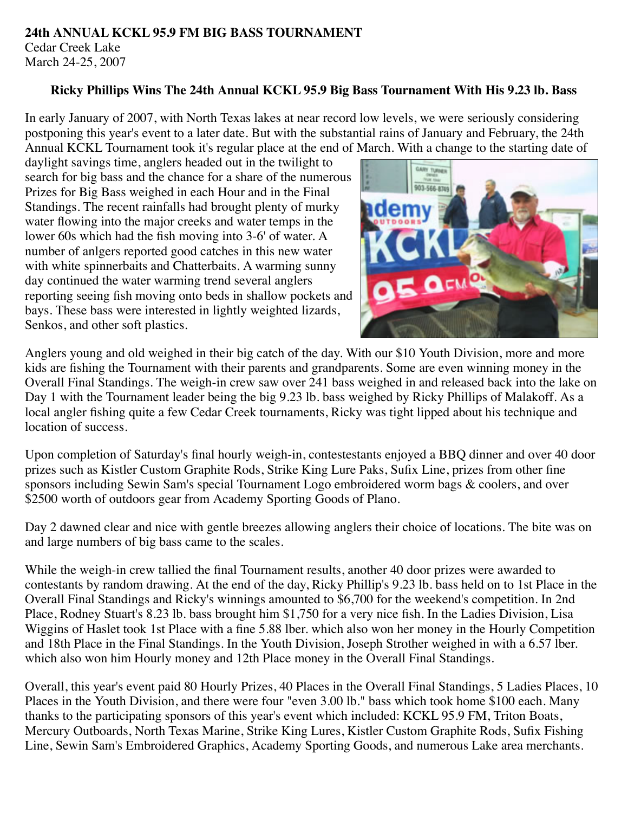### **24th ANNUAL KCKL 95.9 FM BIG BASS TOURNAMENT** Cedar Creek Lake March 24-25, 2007

### **Ricky Phillips Wins The 24th Annual KCKL 95.9 Big Bass Tournament With His 9.23 lb. Bass**

In early January of 2007, with North Texas lakes at near record low levels, we were seriously considering postponing this year's event to a later date. But with the substantial rains of January and February, the 24th Annual KCKL Tournament took it's regular place at the end of March. With a change to the starting date of

daylight savings time, anglers headed out in the twilight to search for big bass and the chance for a share of the numerous Prizes for Big Bass weighed in each Hour and in the Final Standings. The recent rainfalls had brought plenty of murky water flowing into the major creeks and water temps in the lower 60s which had the fish moving into 3-6' of water. A number of anlgers reported good catches in this new water with white spinnerbaits and Chatterbaits. A warming sunny day continued the water warming trend several anglers reporting seeing fish moving onto beds in shallow pockets and bays. These bass were interested in lightly weighted lizards, Senkos, and other soft plastics.



Anglers young and old weighed in their big catch of the day. With our \$10 Youth Division, more and more kids are fishing the Tournament with their parents and grandparents. Some are even winning money in the Overall Final Standings. The weigh-in crew saw over 241 bass weighed in and released back into the lake on Day 1 with the Tournament leader being the big 9.23 lb. bass weighed by Ricky Phillips of Malakoff. As a local angler fishing quite a few Cedar Creek tournaments, Ricky was tight lipped about his technique and location of success.

Upon completion of Saturday's final hourly weigh-in, contestestants enjoyed a BBQ dinner and over 40 door prizes such as Kistler Custom Graphite Rods, Strike King Lure Paks, Sufix Line, prizes from other fine sponsors including Sewin Sam's special Tournament Logo embroidered worm bags & coolers, and over \$2500 worth of outdoors gear from Academy Sporting Goods of Plano.

Day 2 dawned clear and nice with gentle breezes allowing anglers their choice of locations. The bite was on and large numbers of big bass came to the scales.

While the weigh-in crew tallied the final Tournament results, another 40 door prizes were awarded to contestants by random drawing. At the end of the day, Ricky Phillip's 9.23 lb. bass held on to 1st Place in the Overall Final Standings and Ricky's winnings amounted to \$6,700 for the weekend's competition. In 2nd Place, Rodney Stuart's 8.23 lb. bass brought him \$1,750 for a very nice fish. In the Ladies Division, Lisa Wiggins of Haslet took 1st Place with a fine 5.88 lber. which also won her money in the Hourly Competition and 18th Place in the Final Standings. In the Youth Division, Joseph Strother weighed in with a 6.57 lber. which also won him Hourly money and 12th Place money in the Overall Final Standings.

Overall, this year's event paid 80 Hourly Prizes, 40 Places in the Overall Final Standings, 5 Ladies Places, 10 Places in the Youth Division, and there were four "even 3.00 lb." bass which took home \$100 each. Many thanks to the participating sponsors of this year's event which included: KCKL 95.9 FM, Triton Boats, Mercury Outboards, North Texas Marine, Strike King Lures, Kistler Custom Graphite Rods, Sufix Fishing Line, Sewin Sam's Embroidered Graphics, Academy Sporting Goods, and numerous Lake area merchants.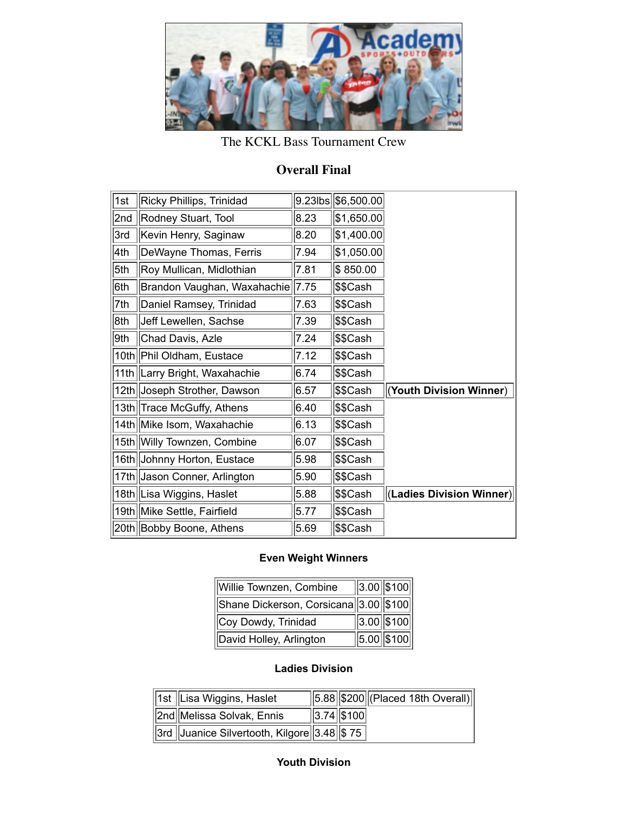

# The KCKL Bass Tournament Crew

# **Overall Final**

| 1st | Ricky Phillips, Trinidad      |      | 9.23lbs \$6,500.00 |                          |
|-----|-------------------------------|------|--------------------|--------------------------|
| 2nd | Rodney Stuart, Tool           | 8.23 | \$1,650.00         |                          |
| 3rd | Kevin Henry, Saginaw          | 8.20 | \$1,400.00         |                          |
| 4th | DeWayne Thomas, Ferris        | 7.94 | \$1,050.00         |                          |
| 5th | Roy Mullican, Midlothian      | 7.81 | \$850.00           |                          |
| 6th | Brandon Vaughan, Waxahachie   | 7.75 | ∣\$\$Cash          |                          |
| 7th | Daniel Ramsey, Trinidad       | 7.63 | ∣\$\$Cash          |                          |
| 8th | Jeff Lewellen, Sachse         | 7.39 | ∣\$\$Cash          |                          |
| 9th | Chad Davis, Azle              | 7.24 | ∣\$\$Cash          |                          |
|     | 10th Phil Oldham, Eustace     | 7.12 | ∣\$\$Cash          |                          |
|     | 11th Larry Bright, Waxahachie | 6.74 | \$\$Cash           |                          |
|     | 12th Joseph Strother, Dawson  | 6.57 | ∣\$\$Cash          | (Youth Division Winner)  |
|     | 13th Trace McGuffy, Athens    | 6.40 | ∣\$\$Cash          |                          |
|     | 14th Mike Isom, Waxahachie    | 6.13 | \$\$Cash           |                          |
|     | 15th Willy Townzen, Combine   | 6.07 | ∣\$\$Cash          |                          |
|     | 16th Johnny Horton, Eustace   | 5.98 | ∣\$\$Cash          |                          |
|     | 17th Jason Conner, Arlington  | 5.90 | \$\$Cash           |                          |
|     | 18th Lisa Wiggins, Haslet     | 5.88 | ∣\$\$Cash          | (Ladies Division Winner) |
|     | 19th Mike Settle, Fairfield   | 5.77 | ∣\$\$Cash          |                          |
|     | 20th Bobby Boone, Athens      | 5.69 | ∣\$\$Cash          |                          |

## **Even Weight Winners**

| Willie Townzen, Combine               | $\ 3.00\ $ \$100                  |
|---------------------------------------|-----------------------------------|
| Shane Dickerson, Corsicana 3.00 \$100 |                                   |
| Coy Dowdy, Trinidad                   | $\left  3.00 \right  100 \right $ |
| David Holley, Arlington               | $5.00$ \$100                      |

# **Ladies Division**

| 1st   Lisa Wiggins, Haslet                                                                       |                  | $\sqrt{5.88 \times 200}$ (Placed 18th Overall) |
|--------------------------------------------------------------------------------------------------|------------------|------------------------------------------------|
| 2nd  Melissa Solvak, Ennis                                                                       | $\ 3.74\ $ \$100 |                                                |
| $\left \left 3\right \right $ Juanice Silvertooth, Kilgore $\left \left 3.48\right \right $ \$75 |                  |                                                |

### **Youth Division**